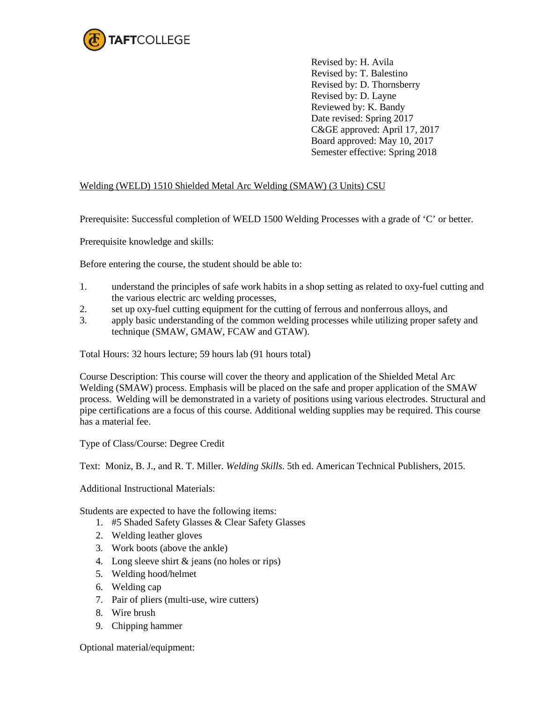

Revised by: H. Avila Revised by: T. Balestino Revised by: D. Thornsberry Revised by: D. Layne Reviewed by: K. Bandy Date revised: Spring 2017 C&GE approved: April 17, 2017 Board approved: May 10, 2017 Semester effective: Spring 2018

## Welding (WELD) 1510 Shielded Metal Arc Welding (SMAW) (3 Units) CSU

Prerequisite: Successful completion of WELD 1500 Welding Processes with a grade of 'C' or better.

Prerequisite knowledge and skills:

Before entering the course, the student should be able to:

- 1. understand the principles of safe work habits in a shop setting as related to oxy-fuel cutting and the various electric arc welding processes,
- 2. set up oxy-fuel cutting equipment for the cutting of ferrous and nonferrous alloys, and
- 3. apply basic understanding of the common welding processes while utilizing proper safety and technique (SMAW, GMAW, FCAW and GTAW).

Total Hours: 32 hours lecture; 59 hours lab (91 hours total)

Course Description: This course will cover the theory and application of the Shielded Metal Arc Welding (SMAW) process. Emphasis will be placed on the safe and proper application of the SMAW process. Welding will be demonstrated in a variety of positions using various electrodes. Structural and pipe certifications are a focus of this course. Additional welding supplies may be required. This course has a material fee.

Type of Class/Course: Degree Credit

Text: Moniz, B. J., and R. T. Miller. *Welding Skills*. 5th ed. American Technical Publishers, 2015.

Additional Instructional Materials:

Students are expected to have the following items:

- 1. #5 Shaded Safety Glasses & Clear Safety Glasses
- 2. Welding leather gloves
- 3. Work boots (above the ankle)
- 4. Long sleeve shirt & jeans (no holes or rips)
- 5. Welding hood/helmet
- 6. Welding cap
- 7. Pair of pliers (multi-use, wire cutters)
- 8. Wire brush
- 9. Chipping hammer

Optional material/equipment: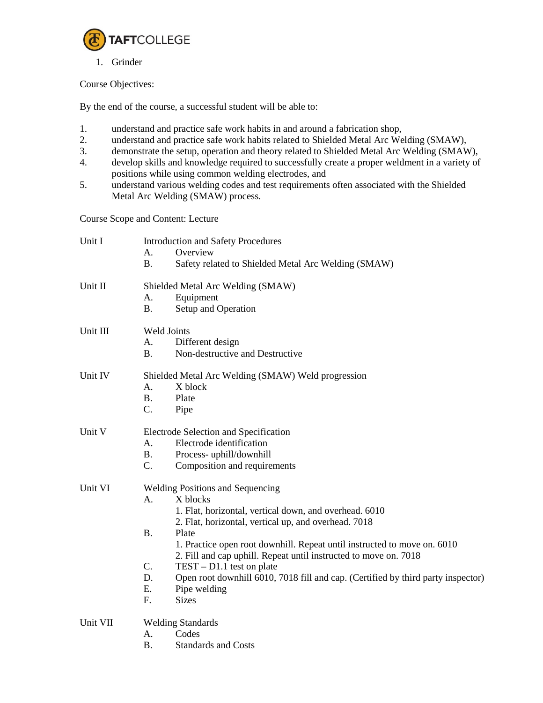

1. Grinder

## Course Objectives:

By the end of the course, a successful student will be able to:

- 1. understand and practice safe work habits in and around a fabrication shop,
- 2. understand and practice safe work habits related to Shielded Metal Arc Welding (SMAW),
- 3. demonstrate the setup, operation and theory related to Shielded Metal Arc Welding (SMAW),
- 4. develop skills and knowledge required to successfully create a proper weldment in a variety of positions while using common welding electrodes, and
- 5. understand various welding codes and test requirements often associated with the Shielded Metal Arc Welding (SMAW) process.

Course Scope and Content: Lecture

| Unit I   | <b>Introduction and Safety Procedures</b><br>Overview<br>A <sub>1</sub><br><b>B.</b><br>Safety related to Shielded Metal Arc Welding (SMAW)                                                                                                                                                                                                                                                                                                                                                                                  |  |
|----------|------------------------------------------------------------------------------------------------------------------------------------------------------------------------------------------------------------------------------------------------------------------------------------------------------------------------------------------------------------------------------------------------------------------------------------------------------------------------------------------------------------------------------|--|
| Unit II  | Shielded Metal Arc Welding (SMAW)<br>A.<br>Equipment<br><b>B.</b><br>Setup and Operation                                                                                                                                                                                                                                                                                                                                                                                                                                     |  |
| Unit III | <b>Weld Joints</b><br>Different design<br>Α.<br>Non-destructive and Destructive<br>$\mathbf{B}$ .                                                                                                                                                                                                                                                                                                                                                                                                                            |  |
| Unit IV  | Shielded Metal Arc Welding (SMAW) Weld progression<br>X block<br>Α.<br><b>B.</b><br>Plate<br>C.<br>Pipe                                                                                                                                                                                                                                                                                                                                                                                                                      |  |
| Unit V   | Electrode Selection and Specification<br>Electrode identification<br>A <sub>1</sub><br><b>B.</b><br>Process-uphill/downhill<br>$C_{\cdot}$<br>Composition and requirements                                                                                                                                                                                                                                                                                                                                                   |  |
| Unit VI  | <b>Welding Positions and Sequencing</b><br>X blocks<br>A.<br>1. Flat, horizontal, vertical down, and overhead. 6010<br>2. Flat, horizontal, vertical up, and overhead. 7018<br><b>B.</b><br>Plate<br>1. Practice open root downhill. Repeat until instructed to move on. 6010<br>2. Fill and cap uphill. Repeat until instructed to move on. 7018<br>C.<br>$TEST - D1.1$ test on plate<br>D.<br>Open root downhill 6010, 7018 fill and cap. (Certified by third party inspector)<br>Ε.<br>Pipe welding<br>F.<br><b>Sizes</b> |  |
| Unit VII | <b>Welding Standards</b><br>Codes<br>А.<br><b>B.</b><br><b>Standards and Costs</b>                                                                                                                                                                                                                                                                                                                                                                                                                                           |  |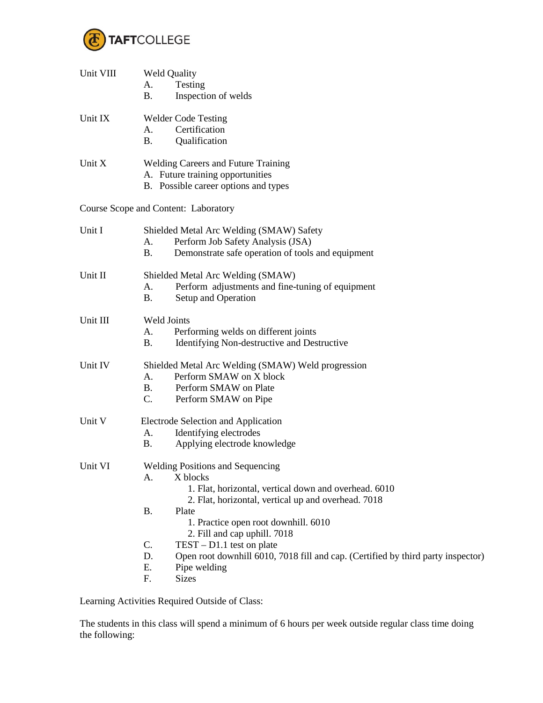

| Unit VIII | <b>Weld Quality</b><br>Testing<br>А.<br>Inspection of welds<br>Β.                                                                                                         |  |
|-----------|---------------------------------------------------------------------------------------------------------------------------------------------------------------------------|--|
| Unit IX   | <b>Welder Code Testing</b><br>Certification<br>А.<br>Qualification<br><b>B.</b>                                                                                           |  |
| Unit X    | <b>Welding Careers and Future Training</b><br>A. Future training opportunities<br>B. Possible career options and types                                                    |  |
|           | Course Scope and Content: Laboratory                                                                                                                                      |  |
| Unit I    | Shielded Metal Arc Welding (SMAW) Safety<br>Perform Job Safety Analysis (JSA)<br>A.<br>Demonstrate safe operation of tools and equipment<br>Β.                            |  |
| Unit II   | Shielded Metal Arc Welding (SMAW)<br>Perform adjustments and fine-tuning of equipment<br>A.<br>Setup and Operation<br>B.                                                  |  |
| Unit III  | Weld Joints<br>Performing welds on different joints<br>A.<br><b>B.</b><br>Identifying Non-destructive and Destructive                                                     |  |
| Unit IV   | Shielded Metal Arc Welding (SMAW) Weld progression<br>Perform SMAW on X block<br>A.<br>Perform SMAW on Plate<br>В.<br>C.<br>Perform SMAW on Pipe                          |  |
| Unit V    | Electrode Selection and Application<br>Identifying electrodes<br>A.<br>Applying electrode knowledge<br>B.                                                                 |  |
| Unit VI   | <b>Welding Positions and Sequencing</b><br>X blocks<br>А.<br>1. Flat, horizontal, vertical down and overhead. 6010<br>2. Flat, horizontal, vertical up and overhead. 7018 |  |
|           | B.<br>Plate<br>1. Practice open root downhill. 6010<br>2. Fill and cap uphill. 7018                                                                                       |  |
|           | C.<br>$TEST - D1.1$ test on plate<br>D.<br>Open root downhill 6010, 7018 fill and cap. (Certified by third party inspector)<br>Ε.<br>Pipe welding<br>F.<br><b>Sizes</b>   |  |
|           |                                                                                                                                                                           |  |

Learning Activities Required Outside of Class:

The students in this class will spend a minimum of 6 hours per week outside regular class time doing the following: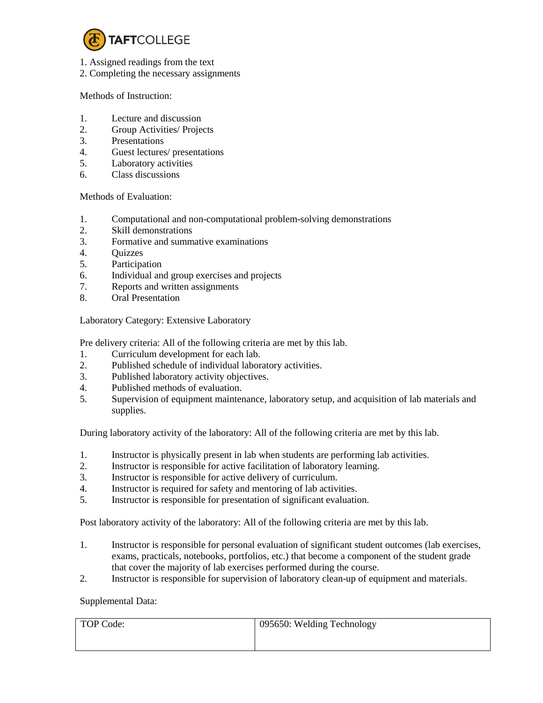

- 1. Assigned readings from the text
- 2. Completing the necessary assignments

## Methods of Instruction:

- 1. Lecture and discussion
- 2. Group Activities/ Projects
- 3. Presentations
- 4. Guest lectures/ presentations
- 5. Laboratory activities
- 6. Class discussions

Methods of Evaluation:

- 1. Computational and non-computational problem-solving demonstrations
- 2. Skill demonstrations
- 3. Formative and summative examinations
- 4. Quizzes
- 5. Participation
- 6. Individual and group exercises and projects
- 7. Reports and written assignments
- 8. Oral Presentation

Laboratory Category: Extensive Laboratory

Pre delivery criteria: All of the following criteria are met by this lab.

- 1. Curriculum development for each lab.
- 2. Published schedule of individual laboratory activities.
- 3. Published laboratory activity objectives.
- 4. Published methods of evaluation.
- 5. Supervision of equipment maintenance, laboratory setup, and acquisition of lab materials and supplies.

During laboratory activity of the laboratory: All of the following criteria are met by this lab.

- 1. Instructor is physically present in lab when students are performing lab activities.
- 2. Instructor is responsible for active facilitation of laboratory learning.
- 3. Instructor is responsible for active delivery of curriculum.
- 4. Instructor is required for safety and mentoring of lab activities.
- 5. Instructor is responsible for presentation of significant evaluation.

Post laboratory activity of the laboratory: All of the following criteria are met by this lab.

- 1. Instructor is responsible for personal evaluation of significant student outcomes (lab exercises, exams, practicals, notebooks, portfolios, etc.) that become a component of the student grade that cover the majority of lab exercises performed during the course.
- 2. Instructor is responsible for supervision of laboratory clean-up of equipment and materials.

## Supplemental Data:

| TOP Code: | 095650: Welding Technology |
|-----------|----------------------------|
|           |                            |